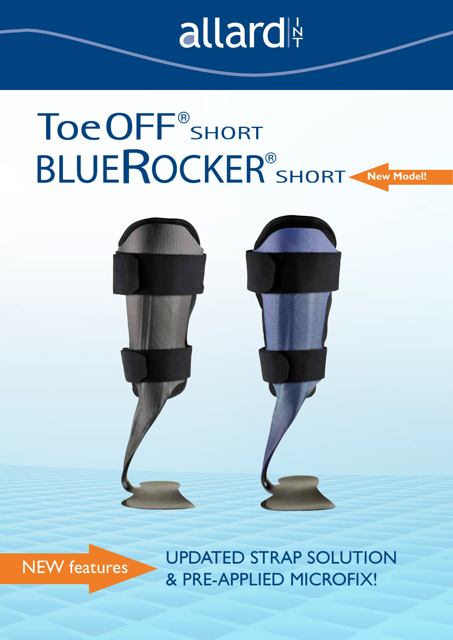### allard

# Toe OFF<sup>®</sup>SHORT **BLUEROCKER<sup>®</sup>SHORT New Model!**





UPDATED STRAP SOLUTION & PRE-APPLIED MICROFIX!